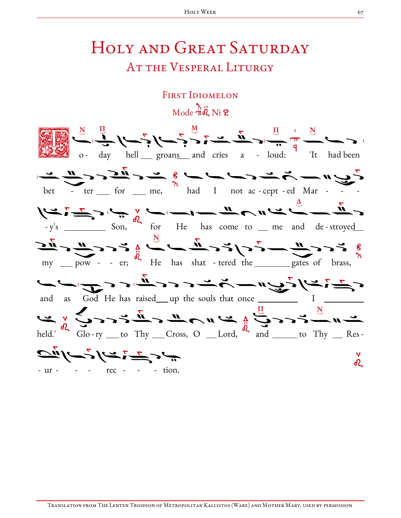## HOLY AND GREAT SATURDAY AT THE VESPERAL LITURGY

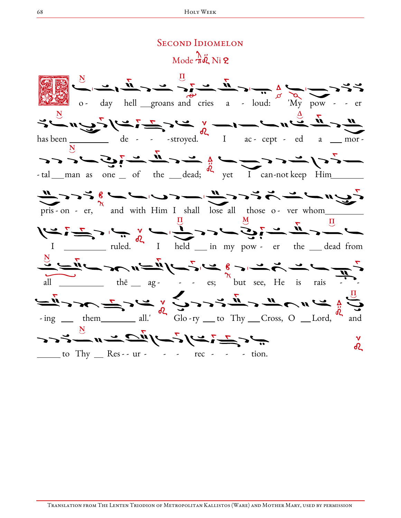